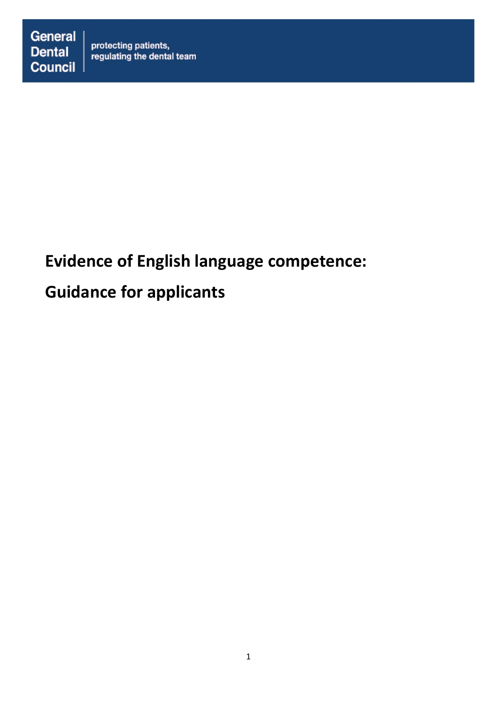# **Evidence of English language competence:**

# **Guidance for applicants**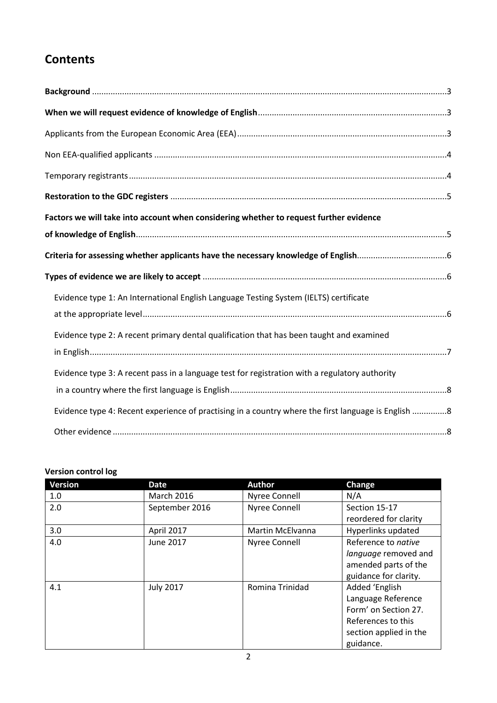# **Contents**

| Factors we will take into account when considering whether to request further evidence              |  |
|-----------------------------------------------------------------------------------------------------|--|
|                                                                                                     |  |
|                                                                                                     |  |
|                                                                                                     |  |
| Evidence type 1: An International English Language Testing System (IELTS) certificate               |  |
|                                                                                                     |  |
| Evidence type 2: A recent primary dental qualification that has been taught and examined            |  |
|                                                                                                     |  |
| Evidence type 3: A recent pass in a language test for registration with a regulatory authority      |  |
|                                                                                                     |  |
| Evidence type 4: Recent experience of practising in a country where the first language is English 8 |  |
|                                                                                                     |  |

### **Version control log**

| <b>Version</b> | <b>Date</b>       | <b>Author</b>    | Change                 |
|----------------|-------------------|------------------|------------------------|
| 1.0            | <b>March 2016</b> | Nyree Connell    | N/A                    |
| 2.0            | September 2016    | Nyree Connell    | Section 15-17          |
|                |                   |                  | reordered for clarity  |
| 3.0            | April 2017        | Martin McElvanna | Hyperlinks updated     |
| 4.0            | June 2017         | Nyree Connell    | Reference to native    |
|                |                   |                  | language removed and   |
|                |                   |                  | amended parts of the   |
|                |                   |                  | guidance for clarity.  |
| 4.1            | <b>July 2017</b>  | Romina Trinidad  | Added 'English         |
|                |                   |                  | Language Reference     |
|                |                   |                  | Form' on Section 27.   |
|                |                   |                  | References to this     |
|                |                   |                  | section applied in the |
|                |                   |                  | guidance.              |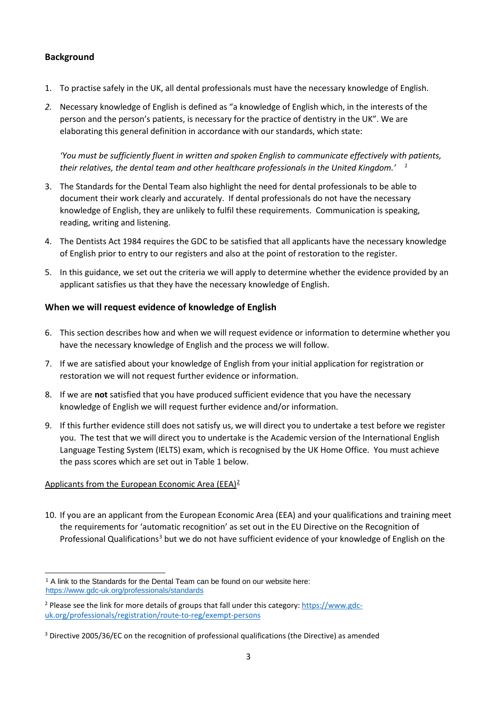# <span id="page-2-0"></span>**Background**

- 1. To practise safely in the UK, all dental professionals must have the necessary knowledge of English.
- *2.* Necessary knowledge of English is defined as "a knowledge of English which, in the interests of the person and the person's patients, is necessary for the practice of dentistry in the UK". We are elaborating this general definition in accordance with our standards, which state:

*'You must be sufficiently fluent in written and spoken English to communicate effectively with patients, their relatives, the dental team and other healthcare professionals in the United Kingdom.' [1](#page-2-3)*

- 3. The Standards for the Dental Team also highlight the need for dental professionals to be able to document their work clearly and accurately. If dental professionals do not have the necessary knowledge of English, they are unlikely to fulfil these requirements. Communication is speaking, reading, writing and listening.
- 4. The Dentists Act 1984 requires the GDC to be satisfied that all applicants have the necessary knowledge of English prior to entry to our registers and also at the point of restoration to the register.
- 5. In this guidance, we set out the criteria we will apply to determine whether the evidence provided by an applicant satisfies us that they have the necessary knowledge of English.

### <span id="page-2-1"></span>**When we will request evidence of knowledge of English**

- 6. This section describes how and when we will request evidence or information to determine whether you have the necessary knowledge of English and the process we will follow.
- 7. If we are satisfied about your knowledge of English from your initial application for registration or restoration we will not request further evidence or information.
- 8. If we are **not** satisfied that you have produced sufficient evidence that you have the necessary knowledge of English we will request further evidence and/or information.
- 9. If this further evidence still does not satisfy us, we will direct you to undertake a test before we register you. The test that we will direct you to undertake is the Academic version of the International English Language Testing System (IELTS) exam, which is recognised by the UK Home Office. You must achieve the pass scores which are set out in Table 1 below.

#### <span id="page-2-2"></span>Applicants from the European Economic Area (EEA)<sup>[2](#page-2-4)</sup>

10. If you are an applicant from the European Economic Area (EEA) and your qualifications and training meet the requirements for 'automatic recognition' as set out in the EU Directive on the Recognition of Professional Qualifications<sup>[3](#page-2-5)</sup> but we do not have sufficient evidence of your knowledge of English on the

<span id="page-2-3"></span> $\overline{a}$  $1$  A link to the Standards for the Dental Team can be found on our website here: <https://www.gdc-uk.org/professionals/standards>

<span id="page-2-4"></span><sup>&</sup>lt;sup>2</sup> Please see the link for more details of groups that fall under this category: [https://www.gdc](https://www.gdc-uk.org/professionals/registration/route-to-reg/exempt-persons)[uk.org/professionals/registration/route-to-reg/exempt-persons](https://www.gdc-uk.org/professionals/registration/route-to-reg/exempt-persons)

<span id="page-2-5"></span><sup>&</sup>lt;sup>3</sup> Directive 2005/36/EC on the recognition of professional qualifications (the Directive) as amended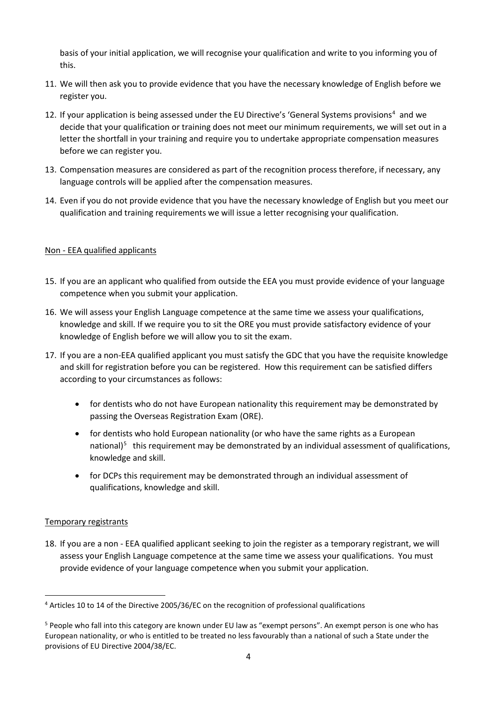basis of your initial application, we will recognise your qualification and write to you informing you of this.

- 11. We will then ask you to provide evidence that you have the necessary knowledge of English before we register you.
- 12. If your application is being assessed under the EU Directive's 'General Systems provisions<sup>[4](#page-3-2)</sup> and we decide that your qualification or training does not meet our minimum requirements, we will set out in a letter the shortfall in your training and require you to undertake appropriate compensation measures before we can register you.
- 13. Compensation measures are considered as part of the recognition process therefore, if necessary, any language controls will be applied after the compensation measures.
- 14. Even if you do not provide evidence that you have the necessary knowledge of English but you meet our qualification and training requirements we will issue a letter recognising your qualification.

### <span id="page-3-0"></span>Non - EEA qualified applicants

- 15. If you are an applicant who qualified from outside the EEA you must provide evidence of your language competence when you submit your application.
- 16. We will assess your English Language competence at the same time we assess your qualifications, knowledge and skill. If we require you to sit the ORE you must provide satisfactory evidence of your knowledge of English before we will allow you to sit the exam.
- 17. If you are a non-EEA qualified applicant you must satisfy the GDC that you have the requisite knowledge and skill for registration before you can be registered. How this requirement can be satisfied differs according to your circumstances as follows:
	- for dentists who do not have European nationality this requirement may be demonstrated by passing the Overseas Registration Exam (ORE).
	- for dentists who hold European nationality (or who have the same rights as a European national)<sup>[5](#page-3-3)</sup> this requirement may be demonstrated by an individual assessment of qualifications, knowledge and skill.
	- for DCPs this requirement may be demonstrated through an individual assessment of qualifications, knowledge and skill.

#### <span id="page-3-1"></span>Temporary registrants

18. If you are a non - EEA qualified applicant seeking to join the register as a temporary registrant, we will assess your English Language competence at the same time we assess your qualifications. You must provide evidence of your language competence when you submit your application.

<span id="page-3-2"></span> <sup>4</sup> Articles 10 to 14 of the Directive 2005/36/EC on the recognition of professional qualifications

<span id="page-3-3"></span><sup>&</sup>lt;sup>5</sup> People who fall into this category are known under EU law as "exempt persons". An exempt person is one who has European nationality, or who is entitled to be treated no less favourably than a national of such a State under the provisions of EU Directive 2004/38/EC.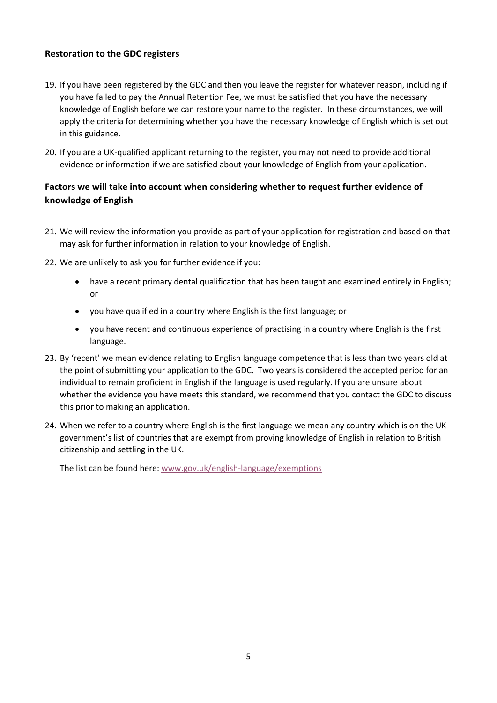### <span id="page-4-0"></span>**Restoration to the GDC registers**

- 19. If you have been registered by the GDC and then you leave the register for whatever reason, including if you have failed to pay the Annual Retention Fee, we must be satisfied that you have the necessary knowledge of English before we can restore your name to the register. In these circumstances, we will apply the criteria for determining whether you have the necessary knowledge of English which is set out in this guidance.
- 20. If you are a UK-qualified applicant returning to the register, you may not need to provide additional evidence or information if we are satisfied about your knowledge of English from your application.

# <span id="page-4-1"></span>**Factors we will take into account when considering whether to request further evidence of knowledge of English**

- 21. We will review the information you provide as part of your application for registration and based on that may ask for further information in relation to your knowledge of English.
- 22. We are unlikely to ask you for further evidence if you:
	- have a recent primary dental qualification that has been taught and examined entirely in English; or
	- you have qualified in a country where English is the first language; or
	- you have recent and continuous experience of practising in a country where English is the first language.
- 23. By 'recent' we mean evidence relating to English language competence that is less than two years old at the point of submitting your application to the GDC. Two years is considered the accepted period for an individual to remain proficient in English if the language is used regularly. If you are unsure about whether the evidence you have meets this standard, we recommend that you contact the GDC to discuss this prior to making an application.
- 24. When we refer to a country where English is the first language we mean any country which is on the UK government's list of countries that are exempt from proving knowledge of English in relation to British citizenship and settling in the UK.

The list can be found here: [www.gov.uk/english-language/exemptions](http://www.gov.uk/english-language/exemptions)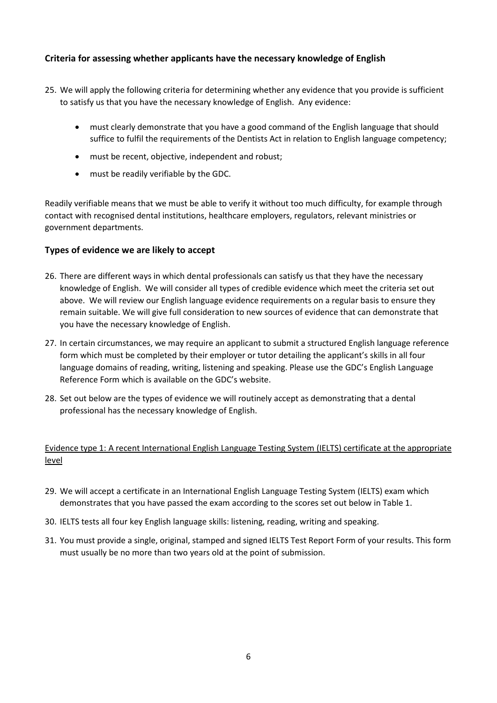## <span id="page-5-0"></span>**Criteria for assessing whether applicants have the necessary knowledge of English**

- 25. We will apply the following criteria for determining whether any evidence that you provide is sufficient to satisfy us that you have the necessary knowledge of English. Any evidence:
	- must clearly demonstrate that you have a good command of the English language that should suffice to fulfil the requirements of the Dentists Act in relation to English language competency;
	- must be recent, objective, independent and robust;
	- must be readily verifiable by the GDC.

<span id="page-5-1"></span>Readily verifiable means that we must be able to verify it without too much difficulty, for example through contact with recognised dental institutions, healthcare employers, regulators, relevant ministries or government departments.

#### **Types of evidence we are likely to accept**

- 26. There are different ways in which dental professionals can satisfy us that they have the necessary knowledge of English. We will consider all types of credible evidence which meet the criteria set out above. We will review our English language evidence requirements on a regular basis to ensure they remain suitable. We will give full consideration to new sources of evidence that can demonstrate that you have the necessary knowledge of English.
- 27. In certain circumstances, we may require an applicant to submit a structured English language reference form which must be completed by their employer or tutor detailing the applicant's skills in all four language domains of reading, writing, listening and speaking. Please use the GDC's English Language Reference Form which is available on the GDC's website.
- 28. Set out below are the types of evidence we will routinely accept as demonstrating that a dental professional has the necessary knowledge of English.

### <span id="page-5-2"></span>Evidence type 1: A recent International English Language Testing System (IELTS) certificate at the appropriate level

- 29. We will accept a certificate in an International English Language Testing System (IELTS) exam which demonstrates that you have passed the exam according to the scores set out below in Table 1.
- 30. IELTS tests all four key English language skills: listening, reading, writing and speaking.
- 31. You must provide a single, original, stamped and signed IELTS Test Report Form of your results. This form must usually be no more than two years old at the point of submission.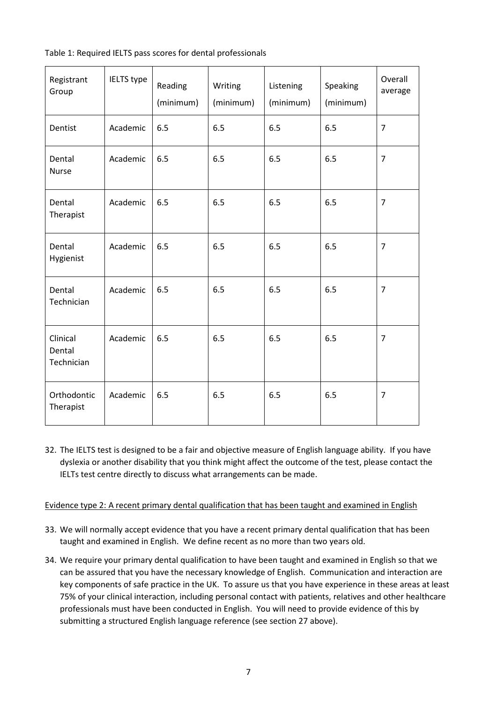|  |  | Table 1: Required IELTS pass scores for dental professionals |
|--|--|--------------------------------------------------------------|
|  |  |                                                              |

| Registrant<br>Group              | IELTS type | Reading<br>(minimum) | Writing<br>(minimum) | Listening<br>(minimum) | Speaking<br>(minimum) | Overall<br>average |
|----------------------------------|------------|----------------------|----------------------|------------------------|-----------------------|--------------------|
| Dentist                          | Academic   | 6.5                  | 6.5                  | 6.5                    | 6.5                   | $\overline{7}$     |
| Dental<br>Nurse                  | Academic   | 6.5                  | 6.5                  | 6.5                    | 6.5                   | $\overline{7}$     |
| Dental<br>Therapist              | Academic   | 6.5                  | 6.5                  | 6.5                    | 6.5                   | $\overline{7}$     |
| Dental<br>Hygienist              | Academic   | 6.5                  | 6.5                  | 6.5                    | 6.5                   | $\overline{7}$     |
| Dental<br>Technician             | Academic   | 6.5                  | 6.5                  | 6.5                    | 6.5                   | $\overline{7}$     |
| Clinical<br>Dental<br>Technician | Academic   | 6.5                  | 6.5                  | 6.5                    | 6.5                   | $\overline{7}$     |
| Orthodontic<br>Therapist         | Academic   | 6.5                  | 6.5                  | 6.5                    | 6.5                   | $\overline{7}$     |

32. The IELTS test is designed to be a fair and objective measure of English language ability. If you have dyslexia or another disability that you think might affect the outcome of the test, please contact the IELTs test centre directly to discuss what arrangements can be made.

<span id="page-6-0"></span>Evidence type 2: A recent primary dental qualification that has been taught and examined in English

- 33. We will normally accept evidence that you have a recent primary dental qualification that has been taught and examined in English. We define recent as no more than two years old.
- 34. We require your primary dental qualification to have been taught and examined in English so that we can be assured that you have the necessary knowledge of English. Communication and interaction are key components of safe practice in the UK. To assure us that you have experience in these areas at least 75% of your clinical interaction, including personal contact with patients, relatives and other healthcare professionals must have been conducted in English. You will need to provide evidence of this by submitting a structured English language reference (see section 27 above).